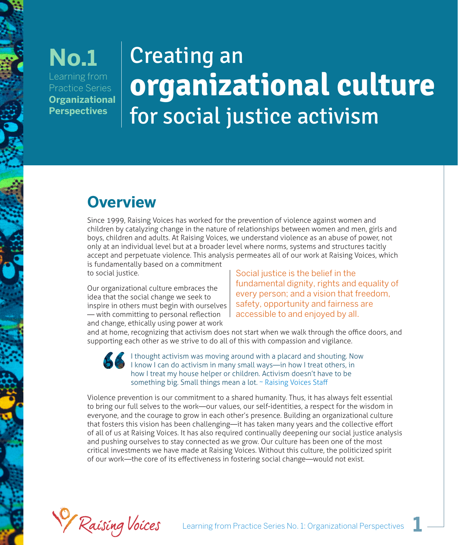### Learning from Practice Series **Organizational Perspectives No.1**

# Creating an **organizational culture** for social justice activism

# **Overview**

Since 1999, Raising Voices has worked for the prevention of violence against women and children by catalyzing change in the nature of relationships between women and men, girls and boys, children and adults. At Raising Voices, we understand violence as an abuse of power, not only at an individual level but at a broader level where norms, systems and structures tacitly accept and perpetuate violence. This analysis permeates all of our work at Raising Voices, which is fundamentally based on a commitment

to social justice.

Our organizational culture embraces the idea that the social change we seek to inspire in others must begin with ourselves — with committing to personal reflection and change, ethically using power at work

Social justice is the belief in the fundamental dignity, rights and equality of every person; and a vision that freedom, safety, opportunity and fairness are accessible to and enjoyed by all.

and at home, recognizing that activism does not start when we walk through the office doors, and supporting each other as we strive to do all of this with compassion and vigilance.

> I thought activism was moving around with a placard and shouting. Now I know I can do activism in many small ways—in how I treat others, in how I treat my house helper or children. Activism doesn't have to be something big. Small things mean a lot. ~ Raising Voices Staff

Violence prevention is our commitment to a shared humanity. Thus, it has always felt essential to bring our full selves to the work—our values, our self-identities, a respect for the wisdom in everyone, and the courage to grow in each other's presence. Building an organizational culture that fosters this vision has been challenging—it has taken many years and the collective effort of all of us at Raising Voices. It has also required continually deepening our social justice analysis and pushing ourselves to stay connected as we grow. Our culture has been one of the most critical investments we have made at Raising Voices. Without this culture, the politicized spirit of our work—the core of its effectiveness in fostering social change—would not exist.

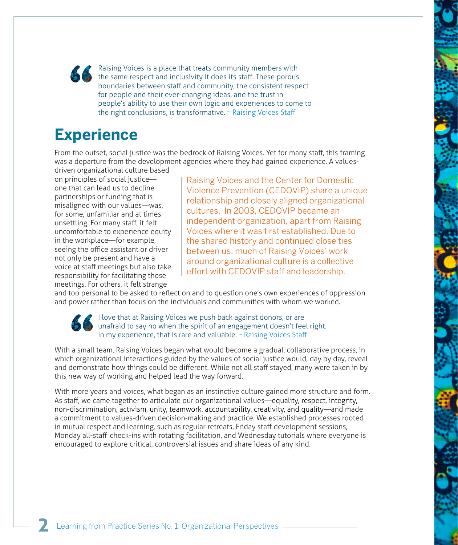Raising Voices is a place that treats community members with the same respect and inclusivity it does its staff. These porous boundaries between staff and community, the consistent respect for people and their ever-changing ideas, and the trust in people's ability to use their own logic and experiences to come to the right conclusions, is transformative. ~ Raising Voices Staff

### **Experience**

From the outset, social justice was the bedrock of Raising Voices. Yet for many staff, this framing was a departure from the development agencies where they had gained experience. A values-

driven organizational culture based on principles of social justice one that can lead us to decline partnerships or funding that is misaligned with our values—was, for some, unfamiliar and at times unsettling. For many staff, it felt uncomfortable to experience equity in the workplace—for example, seeing the office assistant or driver not only be present and have a voice at staff meetings but also take responsibility for facilitating those meetings. For others, it felt strange

Raising Voices and the Center for Domestic Violence Prevention (CEDOVIP) share a unique relationship and closely aligned organizational cultures. In 2003, CEDOVIP became an independent organization, apart from Raising Voices where it was first established. Due to the shared history and continued close ties between us, much of Raising Voices' work around organizational culture is a collective effort with CEDOVIP staff and leadership.

and too personal to be asked to reflect on and to question one's own experiences of oppression and power rather than focus on the individuals and communities with whom we worked.

I love that at Raising Voices we push back against donors, or are unafraid to say no when the spirit of an engagement doesn't feel right. In my experience, that is rare and valuable. ~ Raising Voices Staff

With a small team, Raising Voices began what would become a gradual, collaborative process, in which organizational interactions guided by the values of social justice would, day by day, reveal and demonstrate how things could be different. While not all staff stayed, many were taken in by this new way of working and helped lead the way forward.

With more years and voices, what began as an instinctive culture gained more structure and form. As staff, we came together to articulate our organizational values—equality, respect, integrity, non-discrimination, activism, unity, teamwork, accountability, creativity, and quality—and made a commitment to values-driven decision-making and practice. We established processes rooted in mutual respect and learning, such as regular retreats, Friday staff development sessions, Monday all-staff check-ins with rotating facilitation, and Wednesday tutorials where everyone is encouraged to explore critical, controversial issues and share ideas of any kind.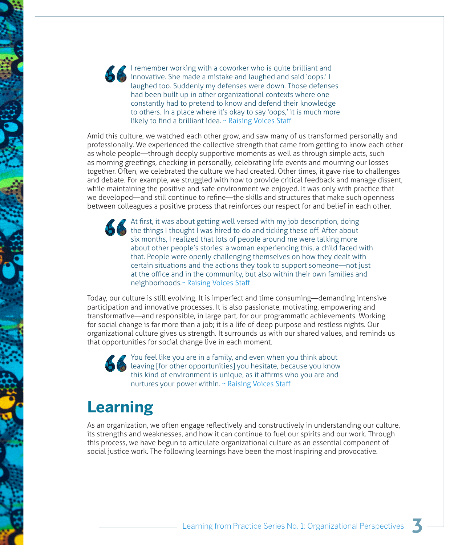I remember working with a coworker who is quite brilliant and innovative. She made a mistake and laughed and said 'oops.' I laughed too. Suddenly my defenses were down. Those defenses had been built up in other organizational contexts where one constantly had to pretend to know and defend their knowledge to others. In a place where it's okay to say 'oops,' it is much more likely to find a brilliant idea. ~ Raising Voices Staff

Amid this culture, we watched each other grow, and saw many of us transformed personally and professionally. We experienced the collective strength that came from getting to know each other as whole people—through deeply supportive moments as well as through simple acts, such as morning greetings, checking in personally, celebrating life events and mourning our losses together. Often, we celebrated the culture we had created. Other times, it gave rise to challenges and debate. For example, we struggled with how to provide critical feedback and manage dissent, while maintaining the positive and safe environment we enjoyed. It was only with practice that we developed—and still continue to refine—the skills and structures that make such openness between colleagues a positive process that reinforces our respect for and belief in each other.

At first, it was about getting well versed with my job description, doing the things I thought I was hired to do and ticking these off. After about six months, I realized that lots of people around me were talking more about other people's stories: a woman experiencing this, a child faced with that. People were openly challenging themselves on how they dealt with certain situations and the actions they took to support someone—not just at the office and in the community, but also within their own families and neighborhoods.~ Raising Voices Staff

Today, our culture is still evolving. It is imperfect and time consuming—demanding intensive participation and innovative processes. It is also passionate, motivating, empowering and transformative—and responsible, in large part, for our programmatic achievements. Working for social change is far more than a job; it is a life of deep purpose and restless nights. Our organizational culture gives us strength. It surrounds us with our shared values, and reminds us that opportunities for social change live in each moment.

You feel like you are in a family, and even when you think about leaving [for other opportunities] you hesitate, because you know this kind of environment is unique, as it affirms who you are and nurtures your power within. ~ Raising Voices Staff

## **Learning**

As an organization, we often engage reflectively and constructively in understanding our culture, its strengths and weaknesses, and how it can continue to fuel our spirits and our work. Through this process, we have begun to articulate organizational culture as an essential component of social justice work. The following learnings have been the most inspiring and provocative.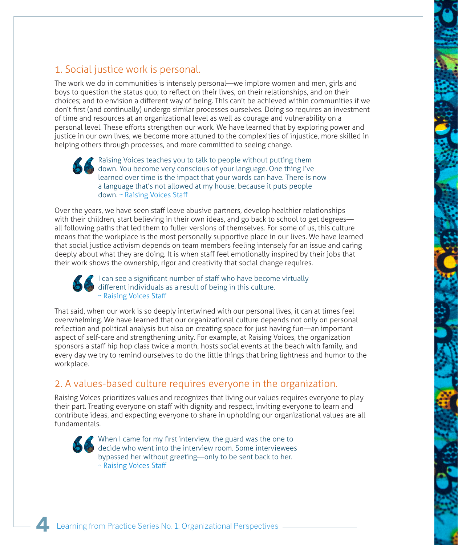### 1. Social justice work is personal.

The work we do in communities is intensely personal—we implore women and men, girls and boys to question the status quo; to reflect on their lives, on their relationships, and on their choices; and to envision a different way of being. This can't be achieved within communities if we don't first (and continually) undergo similar processes ourselves. Doing so requires an investment of time and resources at an organizational level as well as courage and vulnerability on a personal level. These efforts strengthen our work. We have learned that by exploring power and justice in our own lives, we become more attuned to the complexities of injustice, more skilled in helping others through processes, and more committed to seeing change.

**P** Raising Voices teaches you to talk to people without putting them down. You become very conscious of your language. One thing I've learned over time is the impact that your words can have. There is now a language that's not allowed at my house, because it puts people down. ~ Raising Voices Staff

Over the years, we have seen staff leave abusive partners, develop healthier relationships with their children, start believing in their own ideas, and go back to school to get degrees all following paths that led them to fuller versions of themselves. For some of us, this culture means that the workplace is the most personally supportive place in our lives. We have learned that social justice activism depends on team members feeling intensely for an issue and caring deeply about what they are doing. It is when staff feel emotionally inspired by their jobs that their work shows the ownership, rigor and creativity that social change requires.

I can see a significant number of staff who have become virtually different individuals as a result of being in this culture. ~ Raising Voices Staff

That said, when our work is so deeply intertwined with our personal lives, it can at times feel overwhelming. We have learned that our organizational culture depends not only on personal reflection and political analysis but also on creating space for just having fun—an important aspect of self-care and strengthening unity. For example, at Raising Voices, the organization sponsors a staff hip hop class twice a month, hosts social events at the beach with family, and every day we try to remind ourselves to do the little things that bring lightness and humor to the workplace.

#### 2. A values-based culture requires everyone in the organization.

Raising Voices prioritizes values and recognizes that living our values requires everyone to play their part. Treating everyone on staff with dignity and respect, inviting everyone to learn and contribute ideas, and expecting everyone to share in upholding our organizational values are all fundamentals.

When I came for my first interview, the guard was the one to decide who went into the interview room. Some interviewees bypassed her without greeting—only to be sent back to her. ~ Raising Voices Staff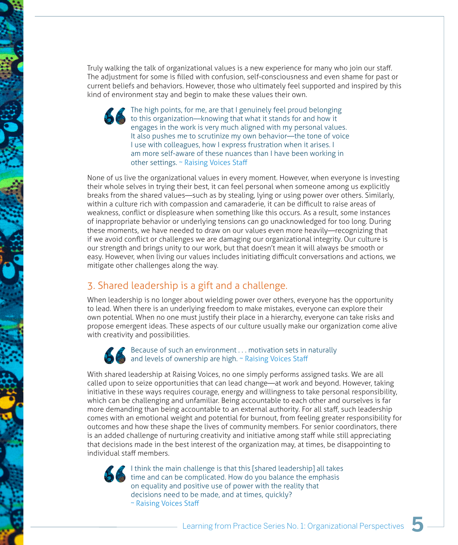Truly walking the talk of organizational values is a new experience for many who join our staff. The adjustment for some is filled with confusion, self-consciousness and even shame for past or current beliefs and behaviors. However, those who ultimately feel supported and inspired by this kind of environment stay and begin to make these values their own.

> The high points, for me, are that I genuinely feel proud belonging to this organization—knowing that what it stands for and how it engages in the work is very much aligned with my personal values. It also pushes me to scrutinize my own behavior—the tone of voice I use with colleagues, how I express frustration when it arises. I am more self-aware of these nuances than I have been working in other settings. ~ Raising Voices Staff

None of us live the organizational values in every moment. However, when everyone is investing their whole selves in trying their best, it can feel personal when someone among us explicitly breaks from the shared values—such as by stealing, lying or using power over others. Similarly, within a culture rich with compassion and camaraderie, it can be difficult to raise areas of weakness, conflict or displeasure when something like this occurs. As a result, some instances of inappropriate behavior or underlying tensions can go unacknowledged for too long. During these moments, we have needed to draw on our values even more heavily—recognizing that if we avoid conflict or challenges we are damaging our organizational integrity. Our culture is our strength and brings unity to our work, but that doesn't mean it will always be smooth or easy. However, when living our values includes initiating difficult conversations and actions, we mitigate other challenges along the way.

### 3. Shared leadership is a gift and a challenge.

When leadership is no longer about wielding power over others, everyone has the opportunity to lead. When there is an underlying freedom to make mistakes, everyone can explore their own potential. When no one must justify their place in a hierarchy, everyone can take risks and propose emergent ideas. These aspects of our culture usually make our organization come alive with creativity and possibilities.

#### Because of such an environment . . . motivation sets in naturally and levels of ownership are high. ~ Raising Voices Staff

With shared leadership at Raising Voices, no one simply performs assigned tasks. We are all called upon to seize opportunities that can lead change—at work and beyond. However, taking initiative in these ways requires courage, energy and willingness to take personal responsibility, which can be challenging and unfamiliar. Being accountable to each other and ourselves is far more demanding than being accountable to an external authority. For all staff, such leadership comes with an emotional weight and potential for burnout, from feeling greater responsibility for outcomes and how these shape the lives of community members. For senior coordinators, there is an added challenge of nurturing creativity and initiative among staff while still appreciating that decisions made in the best interest of the organization may, at times, be disappointing to individual staff members.

I think the main challenge is that this [shared leadership] all takes time and can be complicated. How do you balance the emphasis on equality and positive use of power with the reality that decisions need to be made, and at times, quickly? ~ Raising Voices Staff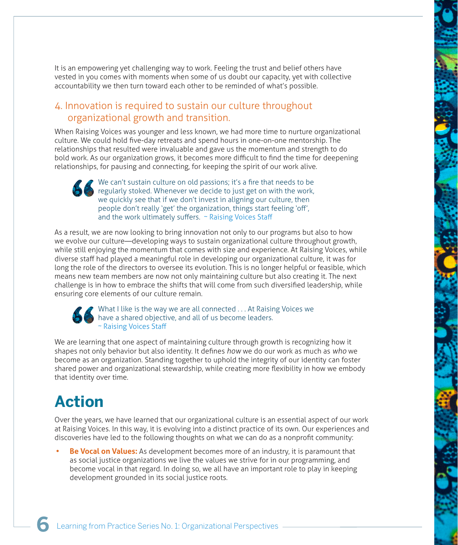It is an empowering yet challenging way to work. Feeling the trust and belief others have vested in you comes with moments when some of us doubt our capacity, yet with collective accountability we then turn toward each other to be reminded of what's possible.

### 4. Innovation is required to sustain our culture throughout organizational growth and transition.

When Raising Voices was younger and less known, we had more time to nurture organizational culture. We could hold five-day retreats and spend hours in one-on-one mentorship. The relationships that resulted were invaluable and gave us the momentum and strength to do bold work. As our organization grows, it becomes more difficult to find the time for deepening relationships, for pausing and connecting, for keeping the spirit of our work alive.

We can't sustain culture on old passions; it's a fire that needs to be regularly stoked. Whenever we decide to just get on with the work, we quickly see that if we don't invest in aligning our culture, then people don't really 'get' the organization, things start feeling 'off', and the work ultimately suffers. ~ Raising Voices Staff

As a result, we are now looking to bring innovation not only to our programs but also to how we evolve our culture—developing ways to sustain organizational culture throughout growth, while still enjoying the momentum that comes with size and experience. At Raising Voices, while diverse staff had played a meaningful role in developing our organizational culture, it was for long the role of the directors to oversee its evolution. This is no longer helpful or feasible, which means new team members are now not only maintaining culture but also creating it. The next challenge is in how to embrace the shifts that will come from such diversified leadership, while ensuring core elements of our culture remain.

#### What I like is the way we are all connected . . . At Raising Voices we have a shared objective, and all of us become leaders. ~ Raising Voices Staff

We are learning that one aspect of maintaining culture through growth is recognizing how it shapes not only behavior but also identity. It defines *how* we do our work as much as *who* we become as an organization. Standing together to uphold the integrity of our identity can foster shared power and organizational stewardship, while creating more flexibility in how we embody that identity over time.

# **Action**

Over the years, we have learned that our organizational culture is an essential aspect of our work at Raising Voices. In this way, it is evolving into a distinct practice of its own. Our experiences and discoveries have led to the following thoughts on what we can do as a nonprofit community:

**Be Vocal on Values:** As development becomes more of an industry, it is paramount that as social justice organizations we live the values we strive for in our programming, and become vocal in that regard. In doing so, we all have an important role to play in keeping development grounded in its social justice roots.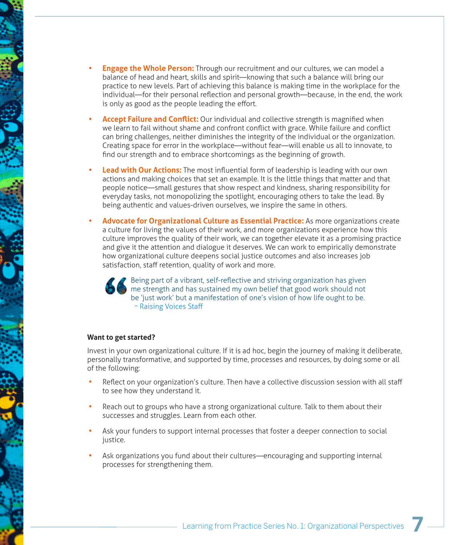- **Engage the Whole Person:** Through our recruitment and our cultures, we can model a balance of head and heart, skills and spirit—knowing that such a balance will bring our practice to new levels. Part of achieving this balance is making time in the workplace for the individual—for their personal reflection and personal growth—because, in the end, the work is only as good as the people leading the effort.
- **Accept Failure and Conflict:** Our individual and collective strength is magnified when we learn to fail without shame and confront conflict with grace. While failure and conflict can bring challenges, neither diminishes the integrity of the individual or the organization. Creating space for error in the workplace—without fear—will enable us all to innovate, to find our strength and to embrace shortcomings as the beginning of growth.
- **Lead with Our Actions:** The most influential form of leadership is leading with our own actions and making choices that set an example. It is the little things that matter and that people notice—small gestures that show respect and kindness, sharing responsibility for everyday tasks, not monopolizing the spotlight, encouraging others to take the lead. By being authentic and values-driven ourselves, we inspire the same in others.
- **Advocate for Organizational Culture as Essential Practice:** As more organizations create a culture for living the values of their work, and more organizations experience how this culture improves the quality of their work, we can together elevate it as a promising practice and give it the attention and dialogue it deserves. We can work to empirically demonstrate how organizational culture deepens social justice outcomes and also increases job satisfaction, staff retention, quality of work and more.



 $\overline{P}$  Being part of a vibrant, self-reflective and striving organization has given me strength and has sustained my own belief that good work should not be 'just work' but a manifestation of one's vision of how life ought to be. ~ Raising Voices Staff

#### **Want to get started?**

Invest in your own organizational culture. If it is ad hoc, begin the journey of making it deliberate, personally transformative, and supported by time, processes and resources, by doing some or all of the following:

- Reflect on your organization's culture. Then have a collective discussion session with all staff to see how they understand it.
- Reach out to groups who have a strong organizational culture. Talk to them about their successes and struggles. Learn from each other.
- Ask your funders to support internal processes that foster a deeper connection to social justice.
- Ask organizations you fund about their cultures—encouraging and supporting internal processes for strengthening them.